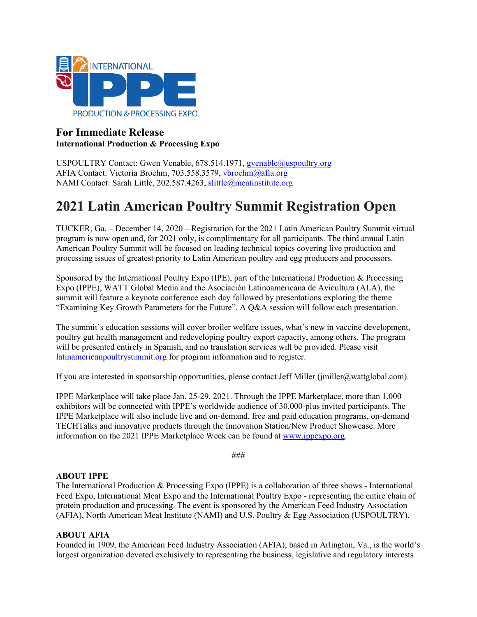

# **For Immediate Release International Production & Processing Expo**

USPOULTRY Contact: Gwen Venable, 678.514.1971, gvenable@uspoultry.org AFIA Contact: Victoria Broehm, 703.558.3579, [vbroehm@afia.org](mailto:vbroehm@afia.org)  NAMI Contact: Sarah Little, 202.587.4263, [slittle@meatinstitute.org](mailto:slittle@meatinstitute.org)

# **2021 Latin American Poultry Summit Registration Open**

TUCKER, Ga. – December 14, 2020 – Registration for the 2021 Latin American Poultry Summit virtual program is now open and, for 2021 only, is complimentary for all participants. The third annual Latin American Poultry Summit will be focused on leading technical topics covering live production and processing issues of greatest priority to Latin American poultry and egg producers and processors.

Sponsored by the International Poultry Expo (IPE), part of the International Production & Processing Expo (IPPE), WATT Global Media and the Asociación Latinoamericana de Avicultura (ALA), the summit will feature a keynote conference each day followed by presentations exploring the theme "Examining Key Growth Parameters for the Future". A Q&A session will follow each presentation.

The summit's education sessions will cover broiler welfare issues, what's new in vaccine development, poultry gut health management and redeveloping poultry export capacity, among others. The program will be presented entirely in Spanish, and no translation services will be provided. Please visit [latinamericanpoultrysummit.org](https://www.latinamericanpoultrysummit.org/) for program information and to register.

If you are interested in sponsorship opportunities, please contact Jeff Miller (jmiller@wattglobal.com).

IPPE Marketplace will take place Jan. 25-29, 2021. Through the IPPE Marketplace, more than 1,000 exhibitors will be connected with IPPE's worldwide audience of 30,000-plus invited participants. The IPPE Marketplace will also include live and on-demand, free and paid education programs, on-demand TECHTalks and innovative products through the Innovation Station/New Product Showcase. More information on the 2021 IPPE Marketplace Week can be found at [www.ippexpo.org.](http://www.ippexpo.org/)

###

#### **ABOUT IPPE**

The International Production & Processing Expo (IPPE) is a collaboration of three shows - International Feed Expo, International Meat Expo and the International Poultry Expo - representing the entire chain of protein production and processing. The event is sponsored by the American Feed Industry Association (AFIA), North American Meat Institute (NAMI) and U.S. Poultry & Egg Association (USPOULTRY).

#### **ABOUT AFIA**

Founded in 1909, the American Feed Industry Association (AFIA), based in Arlington, Va., is the world's largest organization devoted exclusively to representing the business, legislative and regulatory interests